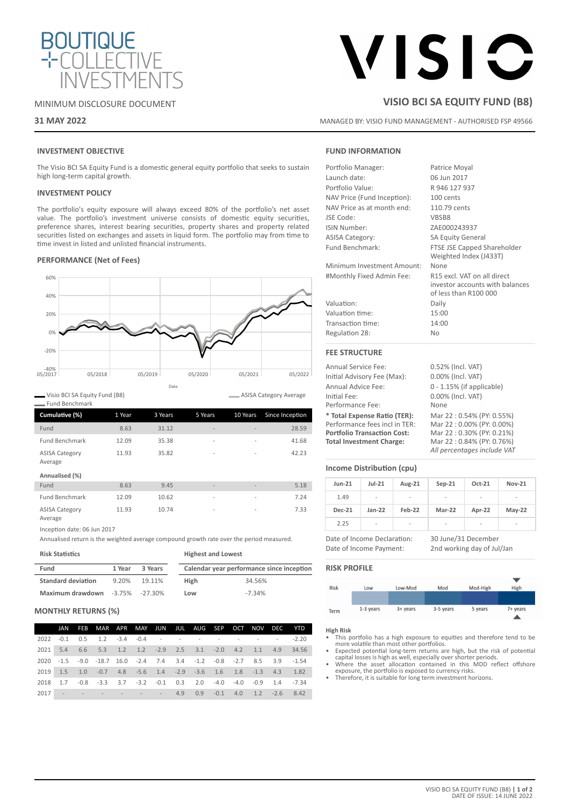

# MINIMUM DISCLOSURE DOCUMENT

# **31 MAY 2022**

# VISIC

# **VISIO BCI SA EQUITY FUND (B8)**

MANAGED BY: VISIO FUND MANAGEMENT - AUTHORISED FSP 49566

# **INVESTMENT OBJECTIVE**

The Visio BCI SA Equity Fund is a domestic general equity portfolio that seeks to sustain high long-term capital growth.

### **INVESTMENT POLICY**

The portfolio's equity exposure will always exceed 80% of the portfolio's net asset value. The portfolio's investment universe consists of domestic equity securities, preference shares, interest bearing securities, property shares and property related securities listed on exchanges and assets in liquid form. The portfolio may from time to time invest in listed and unlisted financial instruments.

## **PERFORMANCE (Net of Fees)**



Visio BCI SA Equity Fund (B8) Fund Benchmark

| Cumulative (%)                   | 1 Year | 3 Years | 5 Years                  | 10 Years                 | Since Inception |
|----------------------------------|--------|---------|--------------------------|--------------------------|-----------------|
| Fund                             | 8.63   | 31.12   | $\overline{\phantom{a}}$ |                          | 28.59           |
| <b>Fund Benchmark</b>            | 12.09  | 35.38   | $\overline{\phantom{a}}$ | $\overline{\phantom{a}}$ | 41.68           |
| <b>ASISA Category</b><br>Average | 11.93  | 35.82   | $\overline{\phantom{a}}$ | $\overline{\phantom{a}}$ | 42.23           |
| Annualised (%)                   |        |         |                          |                          |                 |
| Fund                             | 8.63   | 9.45    | $\overline{\phantom{0}}$ | $\overline{\phantom{a}}$ | 5.18            |
| <b>Fund Benchmark</b>            | 12.09  | 10.62   | $\overline{\phantom{a}}$ | $\overline{a}$           | 7.24            |
| <b>ASISA Category</b><br>Average | 11.93  | 10.74   | $\overline{\phantom{a}}$ | $\overline{a}$           | 7.33            |

Inception date: 06 Jun 2017

Annualised return is the weighted average compound growth rate over the period measured.

**Risk Statistics**

| Fund<br>3 Years<br>1 Year             |       | Calendar year performance since inception |      |          |
|---------------------------------------|-------|-------------------------------------------|------|----------|
| <b>Standard deviation</b>             | 9.20% | 19.11%                                    | High | 34.56%   |
| Maximum drawdown $-3.75\%$ $-27.30\%$ |       |                                           | Low  | $-7.34%$ |

**Highest and Lowest**

### **MONTHLY RETURNS (%)**

| JAN | FEB MAR APR MAY JUN JUL AUG SEP OCT NOV DEC YTD                     |  |  |  |  |  |
|-----|---------------------------------------------------------------------|--|--|--|--|--|
|     |                                                                     |  |  |  |  |  |
|     | 2021 5.4 6.6 5.3 1.2 1.2 -2.9 2.5 3.1 -2.0 4.2 1.1 4.9 34.56        |  |  |  |  |  |
|     | 2020 -1.5 -9.0 -18.7 16.0 -2.4 7.4 3.4 -1.2 -0.8 -2.7 8.5 3.9 -1.54 |  |  |  |  |  |
|     | 2019 1.5 1.0 -0.7 4.8 -5.6 1.4 -2.9 -3.6 1.6 1.8 -1.3 4.3 1.82      |  |  |  |  |  |
|     | 2018 1.7 -0.8 -3.3 3.7 -3.2 -0.1 0.3 2.0 -4.0 -4.0 -0.9 1.4 -7.34   |  |  |  |  |  |
|     | 2017 - - - - - - - 4.9 0.9 -0.1 4.0 1.2 -2.6 8.42                   |  |  |  |  |  |

# **FUND INFORMATION**

| Portfolio Manager:                 | Patrice Moyal                                                                           |  |  |  |
|------------------------------------|-----------------------------------------------------------------------------------------|--|--|--|
| Launch date:                       | 06 Jun 2017                                                                             |  |  |  |
| Portfolio Value:                   | R 946 127 937                                                                           |  |  |  |
| NAV Price (Fund Inception):        | 100 cents                                                                               |  |  |  |
| NAV Price as at month end:         | 110.79 cents                                                                            |  |  |  |
| JSE Code:                          | VBSB8                                                                                   |  |  |  |
| ISIN Number:                       | ZAE000243937                                                                            |  |  |  |
| <b>ASISA Category:</b>             | <b>SA Equity General</b>                                                                |  |  |  |
| Fund Benchmark:                    | FTSE JSE Capped Shareholder<br>Weighted Index (J433T)                                   |  |  |  |
| Minimum Investment Amount:         | None                                                                                    |  |  |  |
| #Monthly Fixed Admin Fee:          | R15 excl. VAT on all direct<br>investor accounts with balances<br>of less than R100 000 |  |  |  |
| Valuation:                         | Daily                                                                                   |  |  |  |
| Valuation time:                    | 15:00                                                                                   |  |  |  |
| Transaction time:                  | 14:00                                                                                   |  |  |  |
| Regulation 28:                     | No                                                                                      |  |  |  |
| <b>FEE STRUCTURE</b>               |                                                                                         |  |  |  |
| Annual Service Fee:                | 0.52% (Incl. VAT)                                                                       |  |  |  |
| Initial Advisory Fee (Max):        | 0.00% (Incl. VAT)                                                                       |  |  |  |
| Annual Advice Fee:                 | $0 - 1.15\%$ (if applicable)                                                            |  |  |  |
| Initial Fee:                       | 0.00% (Incl. VAT)                                                                       |  |  |  |
| Performance Fee:                   | None                                                                                    |  |  |  |
| * Total Expense Ratio (TER):       | Mar 22: 0.54% (PY: 0.55%)                                                               |  |  |  |
| Performance fees incl in TER:      | Mar 22:0.00% (PY: 0.00%)                                                                |  |  |  |
| <b>Portfolio Transaction Cost:</b> | Mar 22:0.30% (PY: 0.21%)                                                                |  |  |  |

### **Income Distribution (cpu)**

| $Jun-21$      | $Jul-21$                 | Aug-21 | $Sep-21$ | Oct-21                   | <b>Nov-21</b> |
|---------------|--------------------------|--------|----------|--------------------------|---------------|
| 1.49          | $\overline{\phantom{a}}$ | ۰      | ٠        | ۰                        | -             |
| <b>Dec-21</b> | $Jan-22$                 | Feb-22 | Mar-22   | Apr-22                   | $May-22$      |
| 2.25          | ۰                        | ۰      | ٠        | $\overline{\phantom{a}}$ | -             |

*All percentages include VAT*

**Total Investment Charge:** Mar 22 : 0.84% (PY: 0.76%)

Date of Income Declaration: 30 June/31 December Date of Income Payment: 2nd working day of Jul/Jan

# **RISK PROFILE**



### **High Risk**

ASISA Category Average

- This portfolio has a high exposure to equities and therefore tend to be
- more volatile than most other portfolios.<br>• Expected potential long-term returns are high, but the risk of potential<br>capital losses is high as well, especially over shorter periods.<br>• Where the asset allocation contained i
- exposure, the portfolio is exposed to currency risks. Therefore, it is suitable for long term investment horizons.
-